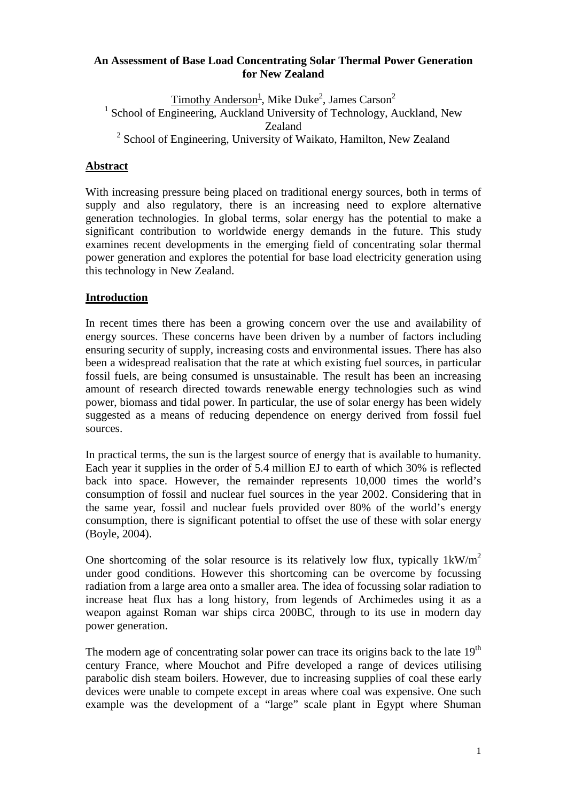### **An Assessment of Base Load Concentrating Solar Thermal Power Generation for New Zealand**

Timothy Anderson<sup>1</sup>, Mike Duke<sup>2</sup>, James Carson<sup>2</sup> <sup>1</sup> School of Engineering, Auckland University of Technology, Auckland, New Zealand <sup>2</sup> School of Engineering, University of Waikato, Hamilton, New Zealand

# **Abstract**

With increasing pressure being placed on traditional energy sources, both in terms of supply and also regulatory, there is an increasing need to explore alternative generation technologies. In global terms, solar energy has the potential to make a significant contribution to worldwide energy demands in the future. This study examines recent developments in the emerging field of concentrating solar thermal power generation and explores the potential for base load electricity generation using this technology in New Zealand.

# **Introduction**

In recent times there has been a growing concern over the use and availability of energy sources. These concerns have been driven by a number of factors including ensuring security of supply, increasing costs and environmental issues. There has also been a widespread realisation that the rate at which existing fuel sources, in particular fossil fuels, are being consumed is unsustainable. The result has been an increasing amount of research directed towards renewable energy technologies such as wind power, biomass and tidal power. In particular, the use of solar energy has been widely suggested as a means of reducing dependence on energy derived from fossil fuel sources.

In practical terms, the sun is the largest source of energy that is available to humanity. Each year it supplies in the order of 5.4 million EJ to earth of which 30% is reflected back into space. However, the remainder represents 10,000 times the world's consumption of fossil and nuclear fuel sources in the year 2002. Considering that in the same year, fossil and nuclear fuels provided over 80% of the world's energy consumption, there is significant potential to offset the use of these with solar energy (Boyle, 2004).

One shortcoming of the solar resource is its relatively low flux, typically  $1 \text{kW/m}^2$ under good conditions. However this shortcoming can be overcome by focussing radiation from a large area onto a smaller area. The idea of focussing solar radiation to increase heat flux has a long history, from legends of Archimedes using it as a weapon against Roman war ships circa 200BC, through to its use in modern day power generation.

The modern age of concentrating solar power can trace its origins back to the late  $19<sup>th</sup>$ century France, where Mouchot and Pifre developed a range of devices utilising parabolic dish steam boilers. However, due to increasing supplies of coal these early devices were unable to compete except in areas where coal was expensive. One such example was the development of a "large" scale plant in Egypt where Shuman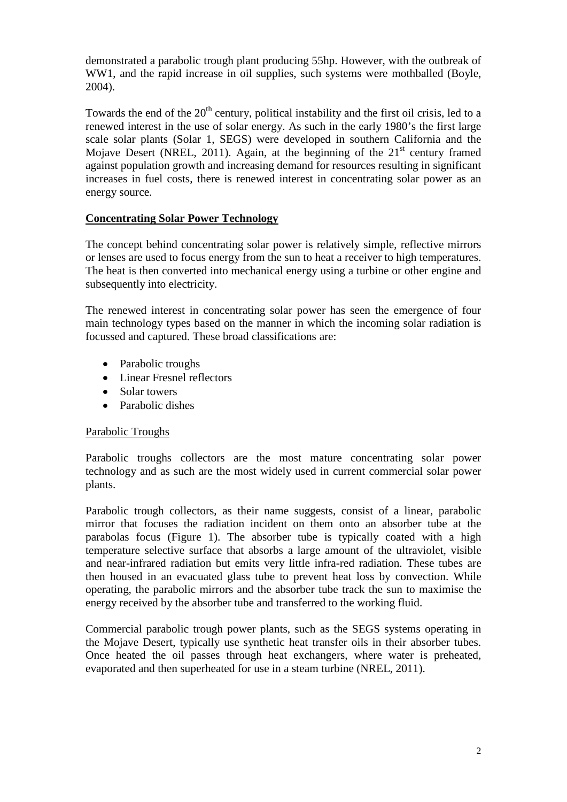demonstrated a parabolic trough plant producing 55hp. However, with the outbreak of WW1, and the rapid increase in oil supplies, such systems were mothballed (Boyle, 2004).

Towards the end of the  $20<sup>th</sup>$  century, political instability and the first oil crisis, led to a renewed interest in the use of solar energy. As such in the early 1980's the first large scale solar plants (Solar 1, SEGS) were developed in southern California and the Mojave Desert (NREL, 2011). Again, at the beginning of the  $21<sup>st</sup>$  century framed against population growth and increasing demand for resources resulting in significant increases in fuel costs, there is renewed interest in concentrating solar power as an energy source.

### **Concentrating Solar Power Technology**

The concept behind concentrating solar power is relatively simple, reflective mirrors or lenses are used to focus energy from the sun to heat a receiver to high temperatures. The heat is then converted into mechanical energy using a turbine or other engine and subsequently into electricity.

The renewed interest in concentrating solar power has seen the emergence of four main technology types based on the manner in which the incoming solar radiation is focussed and captured. These broad classifications are:

- Parabolic troughs
- Linear Fresnel reflectors
- Solar towers
- Parabolic dishes

#### Parabolic Troughs

Parabolic troughs collectors are the most mature concentrating solar power technology and as such are the most widely used in current commercial solar power plants.

Parabolic trough collectors, as their name suggests, consist of a linear, parabolic mirror that focuses the radiation incident on them onto an absorber tube at the parabolas focus (Figure 1). The absorber tube is typically coated with a high temperature selective surface that absorbs a large amount of the ultraviolet, visible and near-infrared radiation but emits very little infra-red radiation. These tubes are then housed in an evacuated glass tube to prevent heat loss by convection. While operating, the parabolic mirrors and the absorber tube track the sun to maximise the energy received by the absorber tube and transferred to the working fluid.

Commercial parabolic trough power plants, such as the SEGS systems operating in the Mojave Desert, typically use synthetic heat transfer oils in their absorber tubes. Once heated the oil passes through heat exchangers, where water is preheated, evaporated and then superheated for use in a steam turbine (NREL, 2011).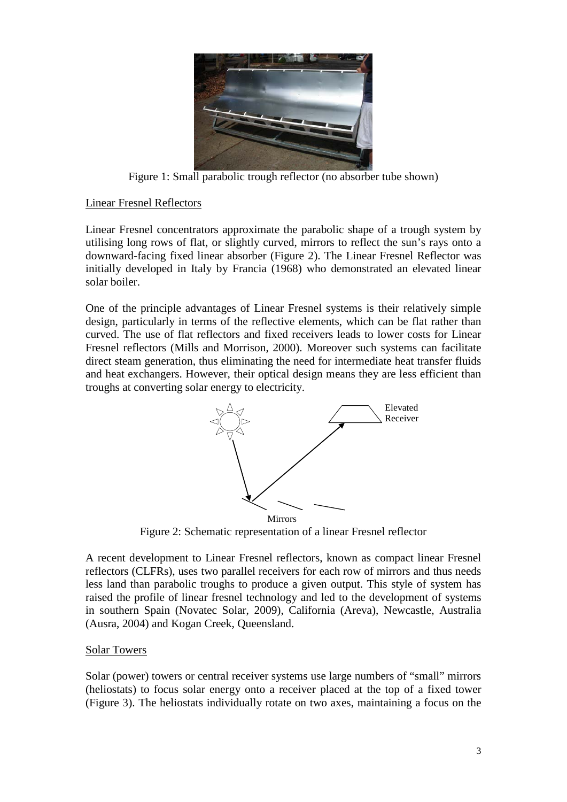

Figure 1: Small parabolic trough reflector (no absorber tube shown)

### Linear Fresnel Reflectors

Linear Fresnel concentrators approximate the parabolic shape of a trough system by utilising long rows of flat, or slightly curved, mirrors to reflect the sun's rays onto a downward-facing fixed linear absorber (Figure 2). The Linear Fresnel Reflector was initially developed in Italy by Francia (1968) who demonstrated an elevated linear solar boiler.

One of the principle advantages of Linear Fresnel systems is their relatively simple design, particularly in terms of the reflective elements, which can be flat rather than curved. The use of flat reflectors and fixed receivers leads to lower costs for Linear Fresnel reflectors (Mills and Morrison, 2000). Moreover such systems can facilitate direct steam generation, thus eliminating the need for intermediate heat transfer fluids and heat exchangers. However, their optical design means they are less efficient than troughs at converting solar energy to electricity.



Figure 2: Schematic representation of a linear Fresnel reflector

A recent development to Linear Fresnel reflectors, known as compact linear Fresnel reflectors (CLFRs), uses two parallel receivers for each row of mirrors and thus needs less land than parabolic troughs to produce a given output. This style of system has raised the profile of linear fresnel technology and led to the development of systems in southern Spain (Novatec Solar, 2009), California (Areva), Newcastle, Australia (Ausra, 2004) and Kogan Creek, Queensland.

## Solar Towers

Solar (power) towers or central receiver systems use large numbers of "small" mirrors (heliostats) to focus solar energy onto a receiver placed at the top of a fixed tower (Figure 3). The heliostats individually rotate on two axes, maintaining a focus on the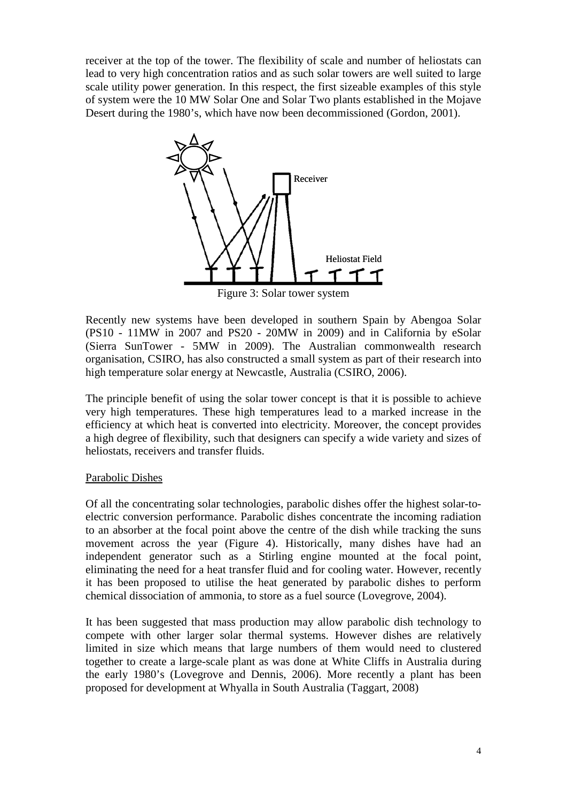receiver at the top of the tower. The flexibility of scale and number of heliostats can lead to very high concentration ratios and as such solar towers are well suited to large scale utility power generation. In this respect, the first sizeable examples of this style of system were the 10 MW Solar One and Solar Two plants established in the Mojave Desert during the 1980's, which have now been decommissioned (Gordon, 2001).



Figure 3: Solar tower system

Recently new systems have been developed in southern Spain by Abengoa Solar (PS10 - 11MW in 2007 and PS20 - 20MW in 2009) and in California by eSolar (Sierra SunTower - 5MW in 2009). The Australian commonwealth research organisation, CSIRO, has also constructed a small system as part of their research into high temperature solar energy at Newcastle, Australia (CSIRO, 2006).

The principle benefit of using the solar tower concept is that it is possible to achieve very high temperatures. These high temperatures lead to a marked increase in the efficiency at which heat is converted into electricity. Moreover, the concept provides a high degree of flexibility, such that designers can specify a wide variety and sizes of heliostats, receivers and transfer fluids.

## Parabolic Dishes

Of all the concentrating solar technologies, parabolic dishes offer the highest solar-toelectric conversion performance. Parabolic dishes concentrate the incoming radiation to an absorber at the focal point above the centre of the dish while tracking the suns movement across the year (Figure 4). Historically, many dishes have had an independent generator such as a Stirling engine mounted at the focal point, eliminating the need for a heat transfer fluid and for cooling water. However, recently it has been proposed to utilise the heat generated by parabolic dishes to perform chemical dissociation of ammonia, to store as a fuel source (Lovegrove, 2004).

It has been suggested that mass production may allow parabolic dish technology to compete with other larger solar thermal systems. However dishes are relatively limited in size which means that large numbers of them would need to clustered together to create a large-scale plant as was done at White Cliffs in Australia during the early 1980's (Lovegrove and Dennis, 2006). More recently a plant has been proposed for development at Whyalla in South Australia (Taggart, 2008)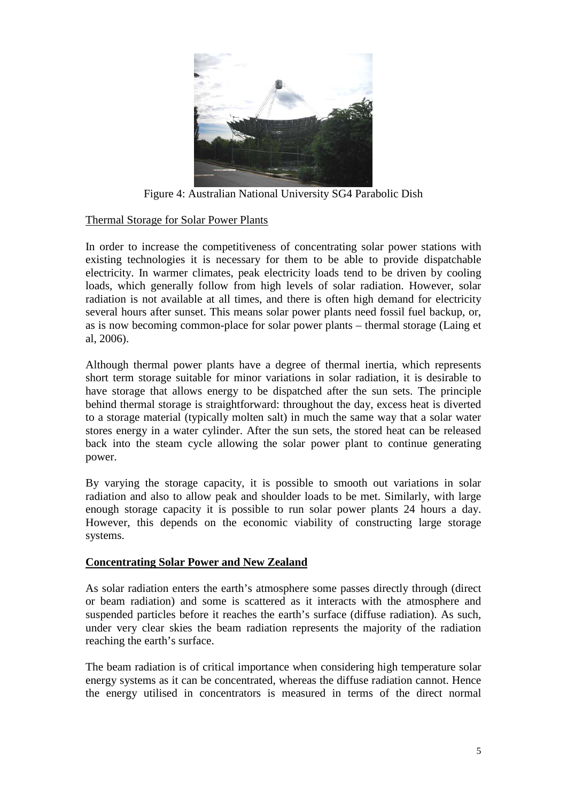

Figure 4: Australian National University SG4 Parabolic Dish

## Thermal Storage for Solar Power Plants

In order to increase the competitiveness of concentrating solar power stations with existing technologies it is necessary for them to be able to provide dispatchable electricity. In warmer climates, peak electricity loads tend to be driven by cooling loads, which generally follow from high levels of solar radiation. However, solar radiation is not available at all times, and there is often high demand for electricity several hours after sunset. This means solar power plants need fossil fuel backup, or, as is now becoming common-place for solar power plants – thermal storage (Laing et al, 2006).

Although thermal power plants have a degree of thermal inertia, which represents short term storage suitable for minor variations in solar radiation, it is desirable to have storage that allows energy to be dispatched after the sun sets. The principle behind thermal storage is straightforward: throughout the day, excess heat is diverted to a storage material (typically molten salt) in much the same way that a solar water stores energy in a water cylinder. After the sun sets, the stored heat can be released back into the steam cycle allowing the solar power plant to continue generating power.

By varying the storage capacity, it is possible to smooth out variations in solar radiation and also to allow peak and shoulder loads to be met. Similarly, with large enough storage capacity it is possible to run solar power plants 24 hours a day. However, this depends on the economic viability of constructing large storage systems.

#### **Concentrating Solar Power and New Zealand**

As solar radiation enters the earth's atmosphere some passes directly through (direct or beam radiation) and some is scattered as it interacts with the atmosphere and suspended particles before it reaches the earth's surface (diffuse radiation). As such, under very clear skies the beam radiation represents the majority of the radiation reaching the earth's surface.

The beam radiation is of critical importance when considering high temperature solar energy systems as it can be concentrated, whereas the diffuse radiation cannot. Hence the energy utilised in concentrators is measured in terms of the direct normal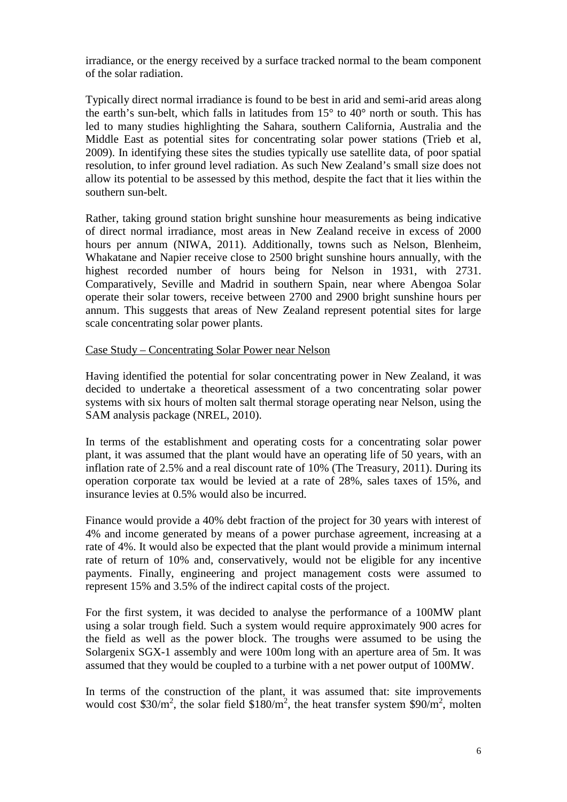irradiance, or the energy received by a surface tracked normal to the beam component of the solar radiation.

Typically direct normal irradiance is found to be best in arid and semi-arid areas along the earth's sun-belt, which falls in latitudes from 15° to 40° north or south. This has led to many studies highlighting the Sahara, southern California, Australia and the Middle East as potential sites for concentrating solar power stations (Trieb et al, 2009). In identifying these sites the studies typically use satellite data, of poor spatial resolution, to infer ground level radiation. As such New Zealand's small size does not allow its potential to be assessed by this method, despite the fact that it lies within the southern sun-belt.

Rather, taking ground station bright sunshine hour measurements as being indicative of direct normal irradiance, most areas in New Zealand receive in excess of 2000 hours per annum (NIWA, 2011). Additionally, towns such as Nelson, Blenheim, Whakatane and Napier receive close to 2500 bright sunshine hours annually, with the highest recorded number of hours being for Nelson in 1931, with 2731. Comparatively, Seville and Madrid in southern Spain, near where Abengoa Solar operate their solar towers, receive between 2700 and 2900 bright sunshine hours per annum. This suggests that areas of New Zealand represent potential sites for large scale concentrating solar power plants.

#### Case Study – Concentrating Solar Power near Nelson

Having identified the potential for solar concentrating power in New Zealand, it was decided to undertake a theoretical assessment of a two concentrating solar power systems with six hours of molten salt thermal storage operating near Nelson, using the SAM analysis package (NREL, 2010).

In terms of the establishment and operating costs for a concentrating solar power plant, it was assumed that the plant would have an operating life of 50 years, with an inflation rate of 2.5% and a real discount rate of 10% (The Treasury, 2011). During its operation corporate tax would be levied at a rate of 28%, sales taxes of 15%, and insurance levies at 0.5% would also be incurred.

Finance would provide a 40% debt fraction of the project for 30 years with interest of 4% and income generated by means of a power purchase agreement, increasing at a rate of 4%. It would also be expected that the plant would provide a minimum internal rate of return of 10% and, conservatively, would not be eligible for any incentive payments. Finally, engineering and project management costs were assumed to represent 15% and 3.5% of the indirect capital costs of the project.

For the first system, it was decided to analyse the performance of a 100MW plant using a solar trough field. Such a system would require approximately 900 acres for the field as well as the power block. The troughs were assumed to be using the Solargenix SGX-1 assembly and were 100m long with an aperture area of 5m. It was assumed that they would be coupled to a turbine with a net power output of 100MW.

In terms of the construction of the plant, it was assumed that: site improvements would cost \$30/m<sup>2</sup>, the solar field  $$180/m^2$ , the heat transfer system \$90/m<sup>2</sup>, molten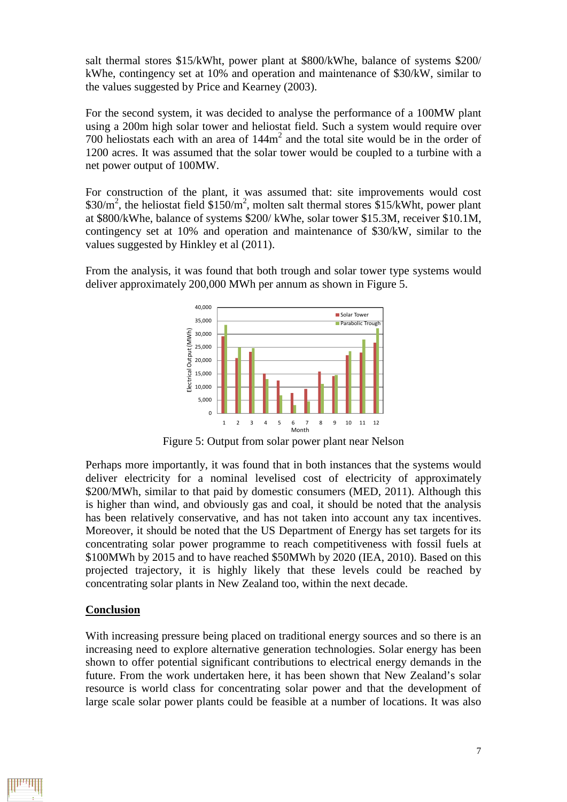salt thermal stores \$15/kWht, power plant at \$800/kWhe, balance of systems \$200/ kWhe, contingency set at 10% and operation and maintenance of \$30/kW, similar to the values suggested by Price and Kearney (2003).

For the second system, it was decided to analyse the performance of a 100MW plant using a 200m high solar tower and heliostat field. Such a system would require over 700 heliostats each with an area of 144m<sup>2</sup> and the total site would be in the order of 1200 acres. It was assumed that the solar tower would be coupled to a turbine with a net power output of 100MW.

For construction of the plant, it was assumed that: site improvements would cost \$30/ $m^2$ , the heliostat field \$150/ $m^2$ , molten salt thermal stores \$15/kWht, power plant at \$800/kWhe, balance of systems \$200/ kWhe, solar tower \$15.3M, receiver \$10.1M, contingency set at 10% and operation and maintenance of \$30/kW, similar to the values suggested by Hinkley et al (2011).

From the analysis, it was found that both trough and solar tower type systems would deliver approximately 200,000 MWh per annum as shown in Figure 5.



Figure 5: Output from solar power plant near Nelson

Perhaps more importantly, it was found that in both instances that the systems would deliver electricity for a nominal levelised cost of electricity of approximately \$200/MWh, similar to that paid by domestic consumers (MED, 2011). Although this is higher than wind, and obviously gas and coal, it should be noted that the analysis has been relatively conservative, and has not taken into account any tax incentives. Moreover, it should be noted that the US Department of Energy has set targets for its concentrating solar power programme to reach competitiveness with fossil fuels at \$100MWh by 2015 and to have reached \$50MWh by 2020 (IEA, 2010). Based on this projected trajectory, it is highly likely that these levels could be reached by concentrating solar plants in New Zealand too, within the next decade.

#### **Conclusion**

With increasing pressure being placed on traditional energy sources and so there is an increasing need to explore alternative generation technologies. Solar energy has been shown to offer potential significant contributions to electrical energy demands in the future. From the work undertaken here, it has been shown that New Zealand's solar resource is world class for concentrating solar power and that the development of large scale solar power plants could be feasible at a number of locations. It was also

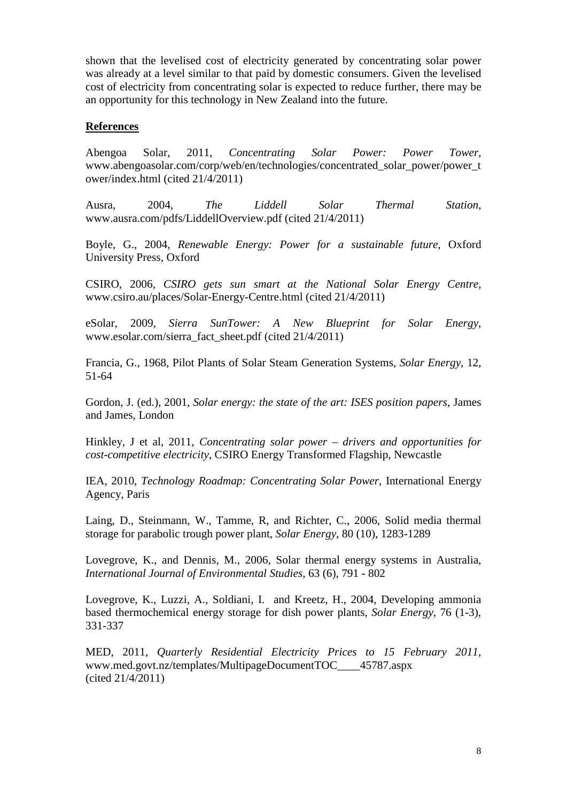shown that the levelised cost of electricity generated by concentrating solar power was already at a level similar to that paid by domestic consumers. Given the levelised cost of electricity from concentrating solar is expected to reduce further, there may be an opportunity for this technology in New Zealand into the future.

### **References**

Abengoa Solar, 2011, *Concentrating Solar Power: Power Tower*, www.abengoasolar.com/corp/web/en/technologies/concentrated\_solar\_power/power\_t ower/index.html (cited 21/4/2011)

Ausra, 2004, *The Liddell Solar Thermal Station*, www.ausra.com/pdfs/LiddellOverview.pdf (cited 21/4/2011)

Boyle, G., 2004, *Renewable Energy: Power for a sustainable future*, Oxford University Press, Oxford

CSIRO, 2006, *CSIRO gets sun smart at the National Solar Energy Centre*, www.csiro.au/places/Solar-Energy-Centre.html (cited 21/4/2011)

eSolar, 2009, *Sierra SunTower: A New Blueprint for Solar Energy*, www.esolar.com/sierra\_fact\_sheet.pdf (cited 21/4/2011)

Francia, G., 1968, Pilot Plants of Solar Steam Generation Systems, *Solar Energy*, 12, 51-64

Gordon, J. (ed.), 2001, *Solar energy: the state of the art: ISES position papers*, James and James, London

Hinkley, J et al, 2011, *Concentrating solar power – drivers and opportunities for cost-competitive electricity*, CSIRO Energy Transformed Flagship, Newcastle

IEA, 2010, *Technology Roadmap: Concentrating Solar Power*, International Energy Agency, Paris

Laing, D., Steinmann, W., Tamme, R, and Richter, C., 2006, Solid media thermal storage for parabolic trough power plant, *Solar Energy*, 80 (10), 1283-1289

Lovegrove, K., and Dennis, M., 2006, Solar thermal energy systems in Australia, *International Journal of Environmental Studies*, 63 (6), 791 - 802

Lovegrove, K., Luzzi, A., Soldiani, I. and Kreetz, H., 2004, Developing ammonia based thermochemical energy storage for dish power plants, *Solar Energy*, 76 (1-3), 331-337

MED, 2011, *Quarterly Residential Electricity Prices to 15 February 2011*, www.med.govt.nz/templates/MultipageDocumentTOC\_\_\_\_45787.aspx (cited 21/4/2011)